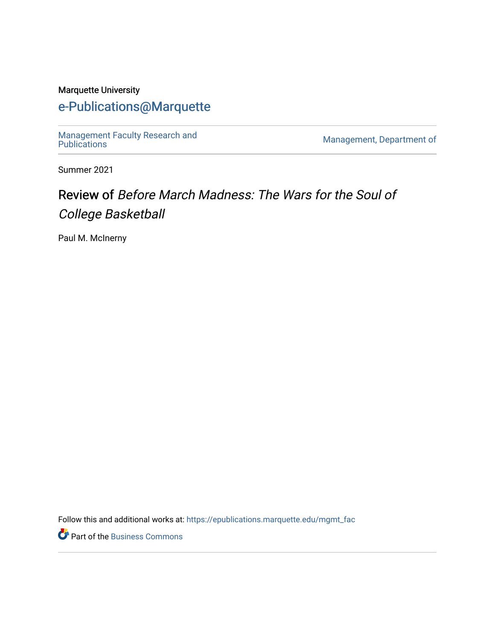#### Marquette University

### [e-Publications@Marquette](https://epublications.marquette.edu/)

[Management Faculty Research and](https://epublications.marquette.edu/mgmt_fac)  [Publications](https://epublications.marquette.edu/mgmt_fac) [Management, Department of](https://epublications.marquette.edu/mgmt) 

Summer 2021

## Review of Before March Madness: The Wars for the Soul of College Basketball

Paul M. McInerny

Follow this and additional works at: [https://epublications.marquette.edu/mgmt\\_fac](https://epublications.marquette.edu/mgmt_fac?utm_source=epublications.marquette.edu%2Fmgmt_fac%2F351&utm_medium=PDF&utm_campaign=PDFCoverPages) 

Part of the [Business Commons](http://network.bepress.com/hgg/discipline/622?utm_source=epublications.marquette.edu%2Fmgmt_fac%2F351&utm_medium=PDF&utm_campaign=PDFCoverPages)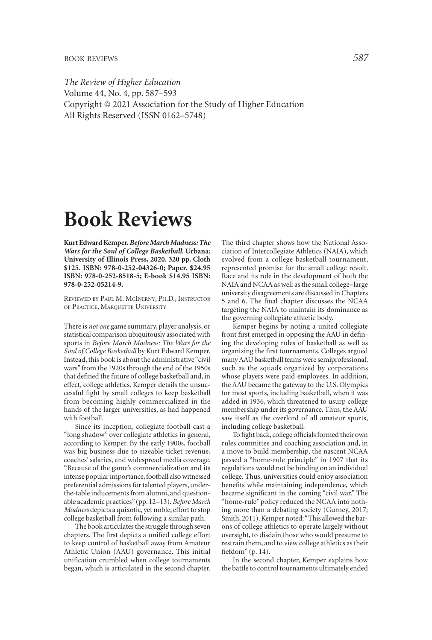*The Review of Higher Education*  Volume 44, No. 4, pp. 587–593 Copyright © 2021 Association for the Study of Higher Education All Rights Reserved (ISSN 0162–5748)

# **Book Reviews**

**Kurt Edward Kemper.** *Before March Madness: The Wars for the Soul of College Basketball.* **Urbana: University of Illinois Press, 2020. 320 pp. Cloth \$125. ISBN: 978-0-252-04326-0; Paper. \$24.95 ISBN: 978-0-252-8518-5; E-book \$14.95 ISBN: 978-0-252-05214-9.** 

REVIEWED BY PAUL M. MCINERNY, PH.D., INSTRUCTOR OF PRACTICE, MARQUETTE UNIVERSITY

There is *not one* game summary, player analysis, or statistical comparison ubiquitously associated with sports in *Before March Madness: The Wars for the Soul of College Basketball* by Kurt Edward Kemper. Instead, this book is about the administrative "civil wars" from the 1920s through the end of the 1950s that defned the future of college basketball and, in effect, college athletics. Kemper details the unsuccessful fght by small colleges to keep basketball from becoming highly commercialized in the hands of the larger universities, as had happened with football.

Since its inception, collegiate football cast a "long shadow" over collegiate athletics in general, according to Kemper. By the early 1900s, football was big business due to sizeable ticket revenue, coaches' salaries, and widespread media coverage. "Because of the game's commercialization and its intense popular importance, football also witnessed preferential admissions for talented players, underthe-table inducements from alumni, and questionable academic practices" (pp. 12-13). *Before March Madness* depicts a quixotic, yet noble, effort to stop college basketball from following a similar path.

The book articulates the struggle through seven chapters. The frst depicts a unifed college effort to keep control of basketball away from Amateur Athletic Union (AAU) governance. This initial unifcation crumbled when college tournaments began, which is articulated in the second chapter. The third chapter shows how the National Association of Intercollegiate Athletics (NAIA), which evolved from a college basketball tournament, represented promise for the small college revolt. Race and its role in the development of both the NAIA and NCAA as well as the small college-large university disagreements are discussed in Chapters 5 and 6. The fnal chapter discusses the NCAA targeting the NAIA to maintain its dominance as the governing collegiate athletic body.

Kemper begins by noting a united collegiate front frst emerged in opposing the AAU in defning the developing rules of basketball as well as organizing the frst tournaments. Colleges argued many AAU basketball teams were semiprofessional, such as the squads organized by corporations whose players were paid employees. In addition, the AAU became the gateway to the U.S. Olympics for most sports, including basketball, when it was added in 1936, which threatened to usurp college membership under its governance. Thus, the AAU saw itself as the overlord of all amateur sports, including college basketball.

To fight back, college officials formed their own rules committee and coaching association and, in a move to build membership, the nascent NCAA passed a "home-rule principle" in 1907 that its regulations would not be binding on an individual college. Thus, universities could enjoy association benefts while maintaining independence, which became signifcant in the coming "civil war." The "home-rule" policy reduced the NCAA into nothing more than a debating society (Gurney, 2017; Smith, 2011). Kemper noted:"This allowed the barons of college athletics to operate largely without oversight, to disdain those who would presume to restrain them, and to view college athletics as their fefdom" (p. 14).

In the second chapter, Kemper explains how the battle to control tournaments ultimately ended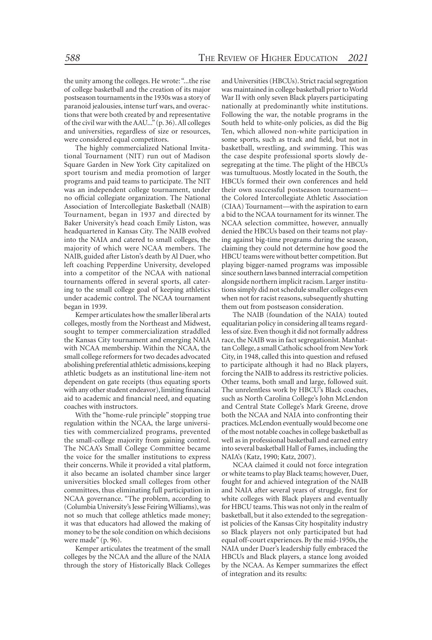the unity among the colleges. He wrote: "...the rise of college basketball and the creation of its major postseason tournaments in the 1930s was a story of paranoid jealousies, intense turf wars, and overactions that were both created by and representative of the civil war with the AAU..." (p. 36). All colleges and universities, regardless of size or resources, were considered equal competitors.

The highly commercialized National Invitational Tournament (NIT) run out of Madison Square Garden in New York City capitalized on sport tourism and media promotion of larger programs and paid teams to participate. The NIT was an independent college tournament, under no official collegiate organization. The National Association of Intercollegiate Basketball (NAIB) Tournament, began in 1937 and directed by Baker University's head coach Emily Liston, was headquartered in Kansas City. The NAIB evolved into the NAIA and catered to small colleges, the majority of which were NCAA members. The NAIB, guided after Liston's death by Al Duer, who left coaching Pepperdine University, developed into a competitor of the NCAA with national tournaments offered in several sports, all catering to the small college goal of keeping athletics under academic control. The NCAA tournament began in 1939.

Kemper articulates how the smaller liberal arts colleges, mostly from the Northeast and Midwest, sought to temper commercialization straddled the Kansas City tournament and emerging NAIA with NCAA membership. Within the NCAA, the small college reformers for two decades advocated abolishing preferential athletic admissions, keeping athletic budgets as an institutional line-item not dependent on gate receipts (thus equating sports with any other student endeavor), limiting fnancial aid to academic and fnancial need, and equating coaches with instructors.

With the "home-rule principle" stopping true regulation within the NCAA, the large universities with commercialized programs, prevented the small-college majority from gaining control. The NCAA's Small College Committee became the voice for the smaller institutions to express their concerns. While it provided a vital platform, it also became an isolated chamber since larger universities blocked small colleges from other committees, thus eliminating full participation in NCAA governance. "The problem, according to (Columbia University's Jesse Feiring Williams), was not so much that college athletics made money; it was that educators had allowed the making of money to be the sole condition on which decisions were made" (p. 96).

Kemper articulates the treatment of the small colleges by the NCAA and the allure of the NAIA through the story of Historically Black Colleges

and Universities (HBCUs). Strict racial segregatio n was maintained in college basketball prior to Worl d War II with only seven Black players participatin g nationally at predominantly white institutions . Following the war, the notable programs in th e South held to white-only policies, as did the Bi g Ten, which allowed non-white participation i n some sports, such as track and feld, but not i n basketball, wrestling, and swimming. This wa s the case despite professional sports slowly de segregating at the time. The plight of the HBCU s was tumultuous. Mostly located in the South, th e HBCUs formed their own conferences and hel d their own successful postseason tournament the Colored Intercollegiate Athletic Associatio n (CIAA) Tournament—with the aspiration to ear n a bid to the NCAA tournament for its winner. Th e NCAA selection committee, however, annuall y denied the HBCUs based on their teams not play ing against big-time programs during the season , claiming they could not determine how good th e HBCU teams were without better competition. Bu t playing bigger-named programs was impossibl e since southern laws banned interracial competitio n alongside northern implicit racism. Larger institu tions simply did not schedule smaller colleges eve n when not for racist reasons, subsequently shuttin g them out from postseason consideration.

The NAIB (foundation of the NAIA) toute d equalitarian policy in considering all teams regard less of size. Even though it did not formally addres s race, the NAIB was in fact segregationist. Manhat tan College, a small Catholic school from New Yor k City, in 1948, called this into question and refuse d to participate although it had no Black players , forcing the NAIB to address its restrictive policies . Other teams, both small and large, followed suit . The unrelentless work by HBCU's Black coaches , such as North Carolina College's John McLendo n and Central State College's Mark Greene, drov e both the NCAA and NAIA into confronting thei r practices. McLendon eventually would become on e of the most notable coaches in college basketball a s well as in professional basketball and earned entr y into several basketball Hall of Fames, including th e NAIA's (Katz, 1990; Katz, 2007).

NCAA claimed it could not force integratio n or white teams to play Black teams; however, Duer , fought for and achieved integration of the NAI B and NAIA after several years of struggle, frst fo r white colleges with Black players and eventuall y for HBCU teams. This was not only in the realm o f basketball, but it also extended to the segregation ist policies of the Kansas City hospitality industr y so Black players not only participated but ha d equal off-court experiences. By the mid-1950s, th e NAIA under Duer's leadership fully embraced th e HBCUs and Black players, a stance long avoide d by the NCAA. As Kemper summarizes the effec t of integration and its results: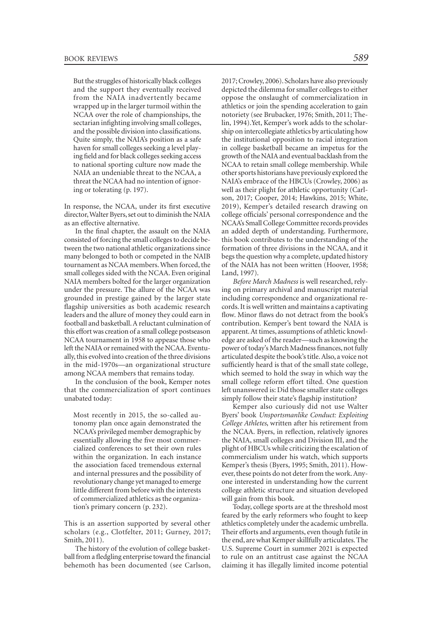But the struggles of historically black colleges and the support they eventually received from the NAIA inadvertently became wrapped up in the larger turmoil within the NCAA over the role of championships, the sectarian infghting involving small colleges, and the possible division into classifcations. Quite simply, the NAIA's position as a safe haven for small colleges seeking a level playing feld and for black colleges seeking access to national sporting culture now made the NAIA an undeniable threat to the NCAA, a threat the NCAA had no intention of ignoring or tolerating (p. 197).

In response, the NCAA, under its frst executive director,Walter Byers, set out to diminish the NAIA as an effective alternative.

In the fnal chapter, the assault on the NAIA consisted of forcing the small colleges to decide between the two national athletic organizations since many belonged to both or competed in the NAIB tournament as NCAA members. When forced, the small colleges sided with the NCAA. Even original NAIA members bolted for the larger organization under the pressure. The allure of the NCAA was grounded in prestige gained by the larger state fagship universities as both academic research leaders and the allure of money they could earn in football and basketball. A reluctant culmination of this effort was creation of a small college postseason NCAA tournament in 1958 to appease those who left the NAIA or remained with the NCAA. Eventually, this evolved into creation of the three divisions in the mid-1970s—an organizational structure among NCAA members that remains today.

In the conclusion of the book, Kemper notes that the commercialization of sport continues unabated today:

Most recently in 2015, the so-called autonomy plan once again demonstrated the NCAA's privileged member demographic by essentially allowing the fve most commercialized conferences to set their own rules within the organization. In each instance the association faced tremendous external and internal pressures and the possibility of revolutionary change yet managed to emerge little different from before with the interests of commercialized athletics as the organization's primary concern (p. 232).

This is an assertion supported by several other scholars (e.g., Clotfelter, 2011; Gurney, 2017; Smith, 2011).

The history of the evolution of college basketball from a fedgling enterprise toward the fnancial behemoth has been documented (see Carlson, 2017; Crowley, 2006). Scholars have also previously depicted the dilemma for smaller colleges to either oppose the onslaught of commercialization in athletics or join the spending acceleration to gain notoriety (see Brubacker, 1976; Smith, 2011; Thelin, 1994).Yet, Kemper's work adds to the scholarship on intercollegiate athletics by articulating how the institutional opposition to racial integration in college basketball became an impetus for the growth of the NAIA and eventual backlash from the NCAA to retain small college membership. While other sports historians have previously explored the NAIA's embrace of the HBCUs (Crowley, 2006) as well as their plight for athletic opportunity (Carlson, 2017; Cooper, 2014; Hawkins, 2015; White, 2019), Kemper's detailed research drawing on college officials' personal correspondence and the NCAA's Small College Committee records provides an added depth of understanding. Furthermore, this book contributes to the understanding of the formation of three divisions in the NCAA, and it begs the question why a complete, updated history of the NAIA has not been written (Hoover, 1958; Land, 1997).

*Before March Madness* is well researched, relying on primary archival and manuscript material including correspondence and organizational records. It is well written and maintains a captivating flow. Minor flaws do not detract from the book's contribution. Kemper's bent toward the NAIA is apparent. At times, assumptions of athletic knowledge are asked of the reader—such as knowing the power of today's March Madness fnances, not fully articulated despite the book's title. Also, a voice not sufficiently heard is that of the small state college, which seemed to hold the sway in which way the small college reform effort tilted. One question left unanswered is: Did those smaller state colleges simply follow their state's flagship institution?

Kemper also curiously did not use Walter Byers' book *Unsportsmanlike Conduct: Exploiting College Athletes*, written after his retirement from the NCAA. Byers, in refection, relatively ignores the NAIA, small colleges and Division III, and the plight of HBCUs while criticizing the escalation of commercialism under his watch, which supports Kemper's thesis (Byers, 1995; Smith, 2011). However, these points do not deter from the work. Anyone interested in understanding how the current college athletic structure and situation developed will gain from this book.

Today, college sports are at the threshold most feared by the early reformers who fought to keep athletics completely under the academic umbrella. Their efforts and arguments, even though futile in the end, are what Kemper skillfully articulates. The U.S. Supreme Court in summer 2021 is expected to rule on an antitrust case against the NCAA claiming it has illegally limited income potential